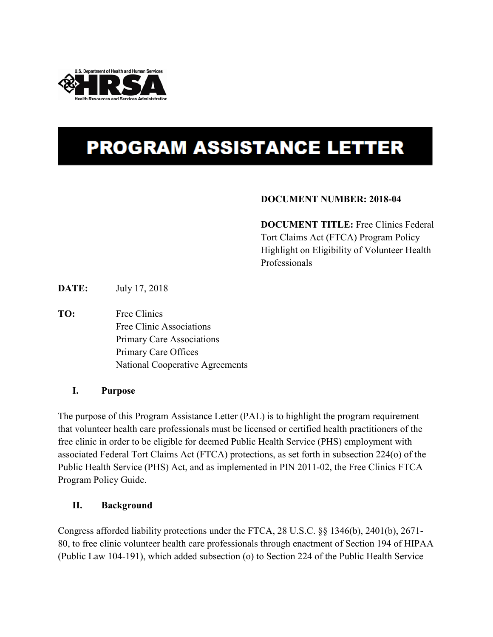

# **PROGRAM ASSISTANCE LETTER**

### **DOCUMENT NUMBER: 2018-04**

**DOCUMENT TITLE:** Free Clinics Federal Tort Claims Act (FTCA) Program Policy Highlight on Eligibility of Volunteer Health Professionals

**DATE:** July 17, 2018

**TO:** Free Clinics Free Clinic Associations Primary Care Associations Primary Care Offices National Cooperative Agreements

#### **I. Purpose**

The purpose of this Program Assistance Letter (PAL) is to highlight the program requirement that volunteer health care professionals must be licensed or certified health practitioners of the free clinic in order to be eligible for deemed Public Health Service (PHS) employment with associated Federal Tort Claims Act (FTCA) protections, as set forth in subsection 224(o) of the Public Health Service (PHS) Act, and as implemented in PIN 2011-02, the Free Clinics FTCA Program Policy Guide.

#### **II. Background**

Congress afforded liability protections under the FTCA, 28 U.S.C. §§ 1346(b), 2401(b), 2671- 80, to free clinic volunteer health care professionals through enactment of Section 194 of HIPAA (Public Law 104-191), which added subsection (o) to Section 224 of the Public Health Service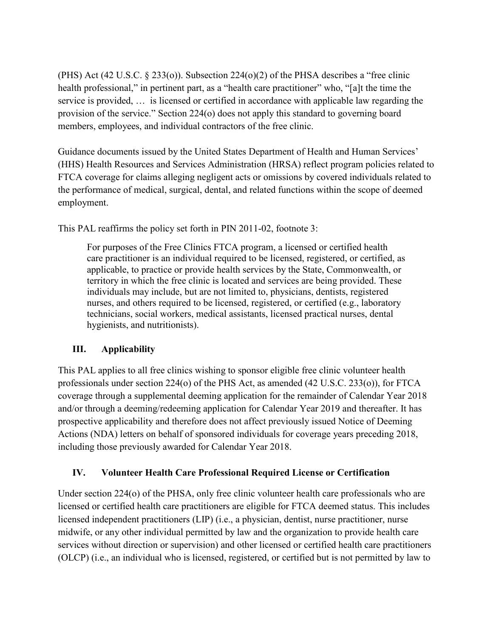(PHS) Act (42 U.S.C. § 233(o)). Subsection 224(o)(2) of the PHSA describes a "free clinic health professional," in pertinent part, as a "health care practitioner" who, "[a]t the time the service is provided, … is licensed or certified in accordance with applicable law regarding the provision of the service." Section 224(o) does not apply this standard to governing board members, employees, and individual contractors of the free clinic.

Guidance documents issued by the United States Department of Health and Human Services' (HHS) Health Resources and Services Administration (HRSA) reflect program policies related to FTCA coverage for claims alleging negligent acts or omissions by covered individuals related to the performance of medical, surgical, dental, and related functions within the scope of deemed employment.

This PAL reaffirms the policy set forth in PIN 2011-02, footnote 3:

For purposes of the Free Clinics FTCA program, a licensed or certified health care practitioner is an individual required to be licensed, registered, or certified, as applicable, to practice or provide health services by the State, Commonwealth, or territory in which the free clinic is located and services are being provided. These individuals may include, but are not limited to, physicians, dentists, registered nurses, and others required to be licensed, registered, or certified (e.g., laboratory technicians, social workers, medical assistants, licensed practical nurses, dental hygienists, and nutritionists).

## **III. Applicability**

This PAL applies to all free clinics wishing to sponsor eligible free clinic volunteer health professionals under section 224(o) of the PHS Act, as amended (42 U.S.C. 233(o)), for FTCA coverage through a supplemental deeming application for the remainder of Calendar Year 2018 and/or through a deeming/redeeming application for Calendar Year 2019 and thereafter. It has prospective applicability and therefore does not affect previously issued Notice of Deeming Actions (NDA) letters on behalf of sponsored individuals for coverage years preceding 2018, including those previously awarded for Calendar Year 2018.

## **IV. Volunteer Health Care Professional Required License or Certification**

Under section 224(o) of the PHSA, only free clinic volunteer health care professionals who are licensed or certified health care practitioners are eligible for FTCA deemed status. This includes licensed independent practitioners (LIP) (i.e., a physician, dentist, nurse practitioner, nurse midwife, or any other individual permitted by law and the organization to provide health care services without direction or supervision) and other licensed or certified health care practitioners (OLCP) (i.e., an individual who is licensed, registered, or certified but is not permitted by law to